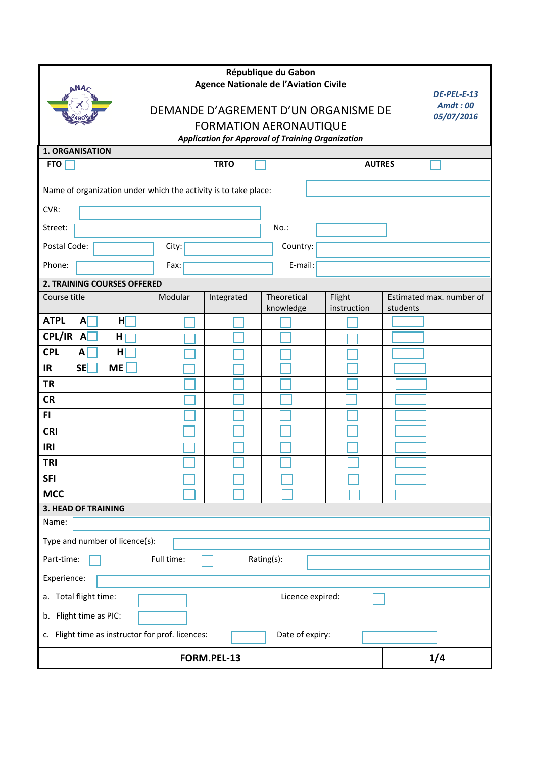| <b>ANA</b>                                                                                |         |             |                          |                       |          |                               |  |  |
|-------------------------------------------------------------------------------------------|---------|-------------|--------------------------|-----------------------|----------|-------------------------------|--|--|
| <b>Agence Nationale de l'Aviation Civile</b>                                              |         |             |                          |                       |          | DE-PEL-E-13<br><b>Amdt:00</b> |  |  |
| DEMANDE D'AGREMENT D'UN ORGANISME DE                                                      |         |             |                          |                       |          | 05/07/2016                    |  |  |
| <b>FORMATION AERONAUTIQUE</b><br><b>Application for Approval of Training Organization</b> |         |             |                          |                       |          |                               |  |  |
| <b>1. ORGANISATION</b>                                                                    |         |             |                          |                       |          |                               |  |  |
| <b>FTO</b>                                                                                |         | <b>TRTO</b> |                          | <b>AUTRES</b>         |          |                               |  |  |
| Name of organization under which the activity is to take place:                           |         |             |                          |                       |          |                               |  |  |
| CVR:                                                                                      |         |             |                          |                       |          |                               |  |  |
| Street:                                                                                   |         |             | $No.$ :                  |                       |          |                               |  |  |
| Postal Code:                                                                              | City:   |             | Country:                 |                       |          |                               |  |  |
| Phone:                                                                                    | Fax:    |             | E-mail:                  |                       |          |                               |  |  |
| 2. TRAINING COURSES OFFERED                                                               |         |             |                          |                       |          |                               |  |  |
| Course title                                                                              | Modular | Integrated  | Theoretical<br>knowledge | Flight<br>instruction | students | Estimated max. number of      |  |  |
| <b>ATPL</b><br>H<br>$\mathbf{A}$                                                          |         |             |                          |                       |          |                               |  |  |
| CPL/IR A<br>н                                                                             |         |             |                          |                       |          |                               |  |  |
| <b>CPL</b><br>A<br>H                                                                      |         |             |                          |                       |          |                               |  |  |
| <b>SE</b><br><b>ME</b><br>IR                                                              |         |             |                          |                       |          |                               |  |  |
| <b>TR</b>                                                                                 |         |             |                          |                       |          |                               |  |  |
| <b>CR</b>                                                                                 |         |             |                          |                       |          |                               |  |  |
| FI.                                                                                       |         |             |                          |                       |          |                               |  |  |
| <b>CRI</b>                                                                                |         |             |                          |                       |          |                               |  |  |
| IRI                                                                                       |         |             |                          |                       |          |                               |  |  |
| <b>TRI</b><br><b>SFI</b>                                                                  |         |             |                          |                       |          |                               |  |  |
| <b>MCC</b>                                                                                |         |             |                          |                       |          |                               |  |  |
| <b>3. HEAD OF TRAINING</b>                                                                |         |             |                          |                       |          |                               |  |  |
| Name:                                                                                     |         |             |                          |                       |          |                               |  |  |
| Type and number of licence(s):                                                            |         |             |                          |                       |          |                               |  |  |
| Part-time:<br>Full time:<br>Rating(s):                                                    |         |             |                          |                       |          |                               |  |  |
| Experience:                                                                               |         |             |                          |                       |          |                               |  |  |
| a. Total flight time:<br>Licence expired:                                                 |         |             |                          |                       |          |                               |  |  |
| b. Flight time as PIC:                                                                    |         |             |                          |                       |          |                               |  |  |
| c. Flight time as instructor for prof. licences:<br>Date of expiry:                       |         |             |                          |                       |          |                               |  |  |
|                                                                                           |         | FORM.PEL-13 |                          |                       |          | 1/4                           |  |  |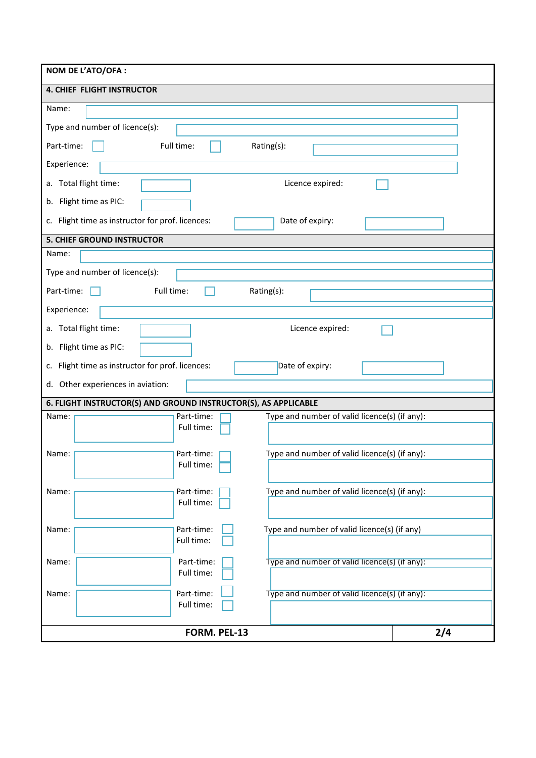| NOM DE L'ATO/OFA :                                                                 |     |  |  |  |  |
|------------------------------------------------------------------------------------|-----|--|--|--|--|
| <b>4. CHIEF FLIGHT INSTRUCTOR</b>                                                  |     |  |  |  |  |
| Name:                                                                              |     |  |  |  |  |
| Type and number of licence(s):                                                     |     |  |  |  |  |
| Full time:<br>Part-time:<br>Rating(s):                                             |     |  |  |  |  |
| Experience:                                                                        |     |  |  |  |  |
| a. Total flight time:<br>Licence expired:                                          |     |  |  |  |  |
| b. Flight time as PIC:                                                             |     |  |  |  |  |
| c. Flight time as instructor for prof. licences:<br>Date of expiry:                |     |  |  |  |  |
| <b>5. CHIEF GROUND INSTRUCTOR</b>                                                  |     |  |  |  |  |
| Name:                                                                              |     |  |  |  |  |
| Type and number of licence(s):                                                     |     |  |  |  |  |
| Full time:<br>Part-time:<br>Rating(s):                                             |     |  |  |  |  |
| Experience:                                                                        |     |  |  |  |  |
| a. Total flight time:<br>Licence expired:                                          |     |  |  |  |  |
| b. Flight time as PIC:                                                             |     |  |  |  |  |
| Flight time as instructor for prof. licences:<br>Date of expiry:<br>c.             |     |  |  |  |  |
| Other experiences in aviation:<br>d.                                               |     |  |  |  |  |
| 6. FLIGHT INSTRUCTOR(S) AND GROUND INSTRUCTOR(S), AS APPLICABLE                    |     |  |  |  |  |
| Type and number of valid licence(s) (if any):<br>Part-time:<br>Name:<br>Full time: |     |  |  |  |  |
|                                                                                    |     |  |  |  |  |
| Type and number of valid licence(s) (if any):<br>Name:<br>Part-time:<br>Full time: |     |  |  |  |  |
|                                                                                    |     |  |  |  |  |
| Type and number of valid licence(s) (if any):<br>Part-time:<br>Name:<br>Full time: |     |  |  |  |  |
|                                                                                    |     |  |  |  |  |
| Type and number of valid licence(s) (if any)<br>Part-time:<br>Name:<br>Full time:  |     |  |  |  |  |
|                                                                                    |     |  |  |  |  |
| Name:<br>Part-time:<br>Type and number of valid licence(s) (if any):<br>Full time: |     |  |  |  |  |
| Name:<br>Part-time:<br>Type and number of valid licence(s) (if any):               |     |  |  |  |  |
| Full time:                                                                         |     |  |  |  |  |
| FORM. PEL-13                                                                       | 2/4 |  |  |  |  |
|                                                                                    |     |  |  |  |  |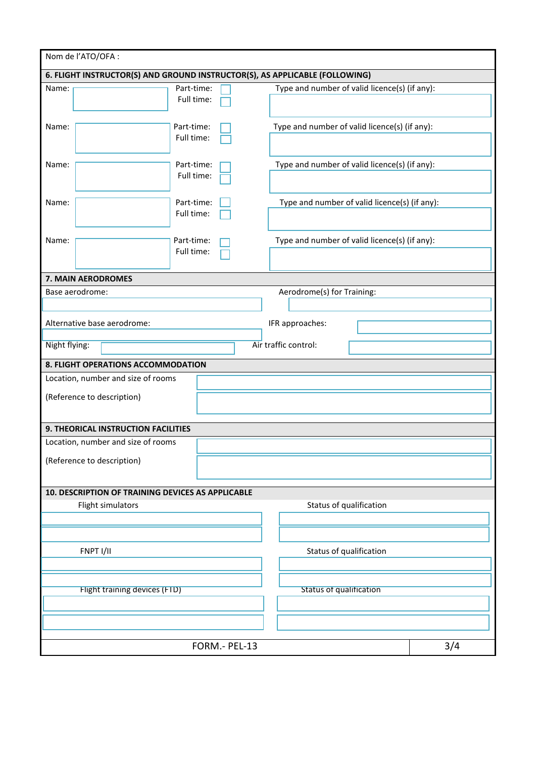| Nom de l'ATO/OFA :                                                          |                          |                                               |                                               |  |  |  |
|-----------------------------------------------------------------------------|--------------------------|-----------------------------------------------|-----------------------------------------------|--|--|--|
| 6. FLIGHT INSTRUCTOR(S) AND GROUND INSTRUCTOR(S), AS APPLICABLE (FOLLOWING) |                          |                                               |                                               |  |  |  |
| Name:                                                                       | Part-time:               | Type and number of valid licence(s) (if any): |                                               |  |  |  |
|                                                                             | Full time:               |                                               |                                               |  |  |  |
|                                                                             |                          |                                               |                                               |  |  |  |
| Name:                                                                       | Part-time:               | Type and number of valid licence(s) (if any): |                                               |  |  |  |
|                                                                             | Full time:               |                                               |                                               |  |  |  |
|                                                                             |                          |                                               |                                               |  |  |  |
| Name:                                                                       | Part-time:               | Type and number of valid licence(s) (if any): |                                               |  |  |  |
|                                                                             | Full time:               |                                               |                                               |  |  |  |
|                                                                             |                          |                                               |                                               |  |  |  |
| Name:                                                                       | Part-time:               | Type and number of valid licence(s) (if any): |                                               |  |  |  |
|                                                                             | Full time:               |                                               |                                               |  |  |  |
|                                                                             |                          |                                               |                                               |  |  |  |
| Name:                                                                       | Part-time:<br>Full time: |                                               | Type and number of valid licence(s) (if any): |  |  |  |
|                                                                             |                          |                                               |                                               |  |  |  |
| 7. MAIN AERODROMES                                                          |                          |                                               |                                               |  |  |  |
| Base aerodrome:                                                             |                          | Aerodrome(s) for Training:                    |                                               |  |  |  |
|                                                                             |                          |                                               |                                               |  |  |  |
|                                                                             |                          |                                               |                                               |  |  |  |
| Alternative base aerodrome:                                                 |                          | IFR approaches:                               |                                               |  |  |  |
|                                                                             |                          | Air traffic control:                          |                                               |  |  |  |
| Night flying:                                                               |                          |                                               |                                               |  |  |  |
| 8. FLIGHT OPERATIONS ACCOMMODATION                                          |                          |                                               |                                               |  |  |  |
| Location, number and size of rooms                                          |                          |                                               |                                               |  |  |  |
| (Reference to description)                                                  |                          |                                               |                                               |  |  |  |
|                                                                             |                          |                                               |                                               |  |  |  |
|                                                                             |                          |                                               |                                               |  |  |  |
| 9. THEORICAL INSTRUCTION FACILITIES                                         |                          |                                               |                                               |  |  |  |
| Location, number and size of rooms                                          |                          |                                               |                                               |  |  |  |
| (Reference to description)                                                  |                          |                                               |                                               |  |  |  |
|                                                                             |                          |                                               |                                               |  |  |  |
| 10. DESCRIPTION OF TRAINING DEVICES AS APPLICABLE                           |                          |                                               |                                               |  |  |  |
| Flight simulators                                                           |                          | Status of qualification                       |                                               |  |  |  |
|                                                                             |                          |                                               |                                               |  |  |  |
|                                                                             |                          |                                               |                                               |  |  |  |
|                                                                             |                          |                                               |                                               |  |  |  |
| FNPT I/II                                                                   |                          | Status of qualification                       |                                               |  |  |  |
|                                                                             |                          |                                               |                                               |  |  |  |
|                                                                             |                          |                                               |                                               |  |  |  |
| Flight training devices (FTD)                                               |                          | <b>Status of qualification</b>                |                                               |  |  |  |
|                                                                             |                          |                                               |                                               |  |  |  |
|                                                                             |                          |                                               |                                               |  |  |  |
|                                                                             |                          |                                               |                                               |  |  |  |
|                                                                             | FORM .- PEL-13           |                                               | 3/4                                           |  |  |  |